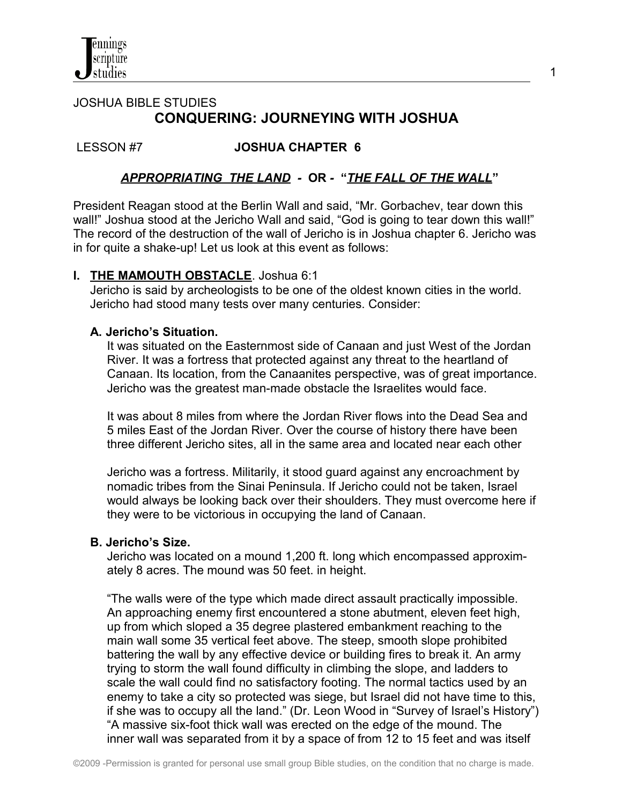

# JOSHUA BIBLE STUDIES  **CONQUERING: JOURNEYING WITH JOSHUA**

### LESSON #7 **JOSHUA CHAPTER 6**

### *APPROPRIATING THE LAND -* **OR** *-* **"***THE FALL OF THE WALL***"**

President Reagan stood at the Berlin Wall and said, "Mr. Gorbachev, tear down this wall!" Joshua stood at the Jericho Wall and said, "God is going to tear down this wall!" The record of the destruction of the wall of Jericho is in Joshua chapter 6. Jericho was in for quite a shake-up! Let us look at this event as follows:

#### **I. THE MAMOUTH OBSTACLE**. Joshua 6:1

Jericho is said by archeologists to be one of the oldest known cities in the world. Jericho had stood many tests over many centuries. Consider:

#### **A. Jericho's Situation.**

 It was situated on the Easternmost side of Canaan and just West of the Jordan River. It was a fortress that protected against any threat to the heartland of Canaan. Its location, from the Canaanites perspective, was of great importance. Jericho was the greatest man-made obstacle the Israelites would face.

 It was about 8 miles from where the Jordan River flows into the Dead Sea and 5 miles East of the Jordan River. Over the course of history there have been three different Jericho sites, all in the same area and located near each other

 Jericho was a fortress. Militarily, it stood guard against any encroachment by nomadic tribes from the Sinai Peninsula. If Jericho could not be taken, Israel would always be looking back over their shoulders. They must overcome here if they were to be victorious in occupying the land of Canaan.

#### **B. Jericho's Size.**

 Jericho was located on a mound 1,200 ft. long which encompassed approxim ately 8 acres. The mound was 50 feet. in height.

 "The walls were of the type which made direct assault practically impossible. An approaching enemy first encountered a stone abutment, eleven feet high, up from which sloped a 35 degree plastered embankment reaching to the main wall some 35 vertical feet above. The steep, smooth slope prohibited battering the wall by any effective device or building fires to break it. An army trying to storm the wall found difficulty in climbing the slope, and ladders to scale the wall could find no satisfactory footing. The normal tactics used by an enemy to take a city so protected was siege, but Israel did not have time to this, if she was to occupy all the land." (Dr. Leon Wood in "Survey of Israel's History") "A massive six-foot thick wall was erected on the edge of the mound. The inner wall was separated from it by a space of from 12 to 15 feet and was itself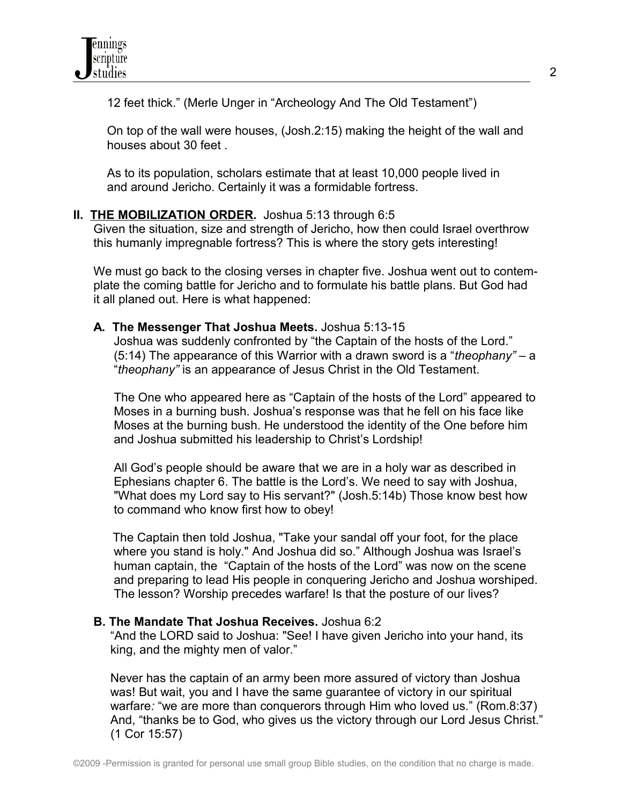12 feet thick." (Merle Unger in "Archeology And The Old Testament")

 On top of the wall were houses, (Josh.2:15) making the height of the wall and houses about 30 feet .

 As to its population, scholars estimate that at least 10,000 people lived in and around Jericho. Certainly it was a formidable fortress.

## **II. THE MOBILIZATION ORDER.** Joshua 5:13 through 6:5

 Given the situation, size and strength of Jericho, how then could Israel overthrow this humanly impregnable fortress? This is where the story gets interesting!

 We must go back to the closing verses in chapter five. Joshua went out to contem plate the coming battle for Jericho and to formulate his battle plans. But God had it all planed out. Here is what happened:

 **A. The Messenger That Joshua Meets.** Joshua 5:13-15

Joshua was suddenly confronted by "the Captain of the hosts of the Lord." (5:14) The appearance of this Warrior with a drawn sword is a "*theophany"* – a "*theophany"* is an appearance of Jesus Christ in the Old Testament.

 The One who appeared here as "Captain of the hosts of the Lord" appeared to Moses in a burning bush. Joshua's response was that he fell on his face like Moses at the burning bush. He understood the identity of the One before him and Joshua submitted his leadership to Christ's Lordship!

 All God's people should be aware that we are in a holy war as described in Ephesians chapter 6. The battle is the Lord's. We need to say with Joshua, "What does my Lord say to His servant?" (Josh.5:14b) Those know best how to command who know first how to obey!

The Captain then told Joshua, "Take your sandal off your foot, for the place where you stand is holy." And Joshua did so." Although Joshua was Israel's human captain, the "Captain of the hosts of the Lord" was now on the scene and preparing to lead His people in conquering Jericho and Joshua worshiped. The lesson? Worship precedes warfare! Is that the posture of our lives?

### **B. The Mandate That Joshua Receives.** Joshua 6:2

 "And the LORD said to Joshua: "See! I have given Jericho into your hand, its king, and the mighty men of valor."

 Never has the captain of an army been more assured of victory than Joshua was! But wait, you and I have the same guarantee of victory in our spiritual warfare: "we are more than conquerors through Him who loved us." (Rom.8:37) And, "thanks be to God, who gives us the victory through our Lord Jesus Christ." (1 Cor 15:57)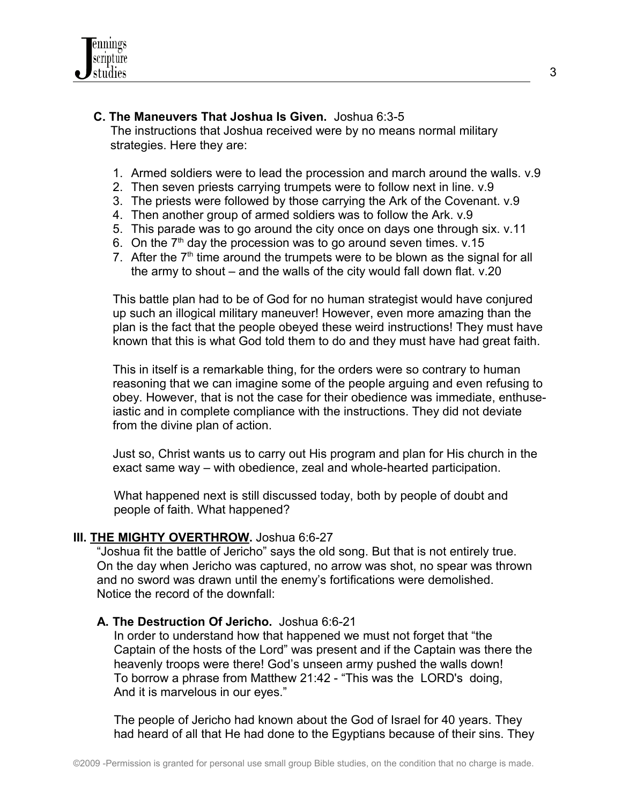

### **C. The Maneuvers That Joshua Is Given.** Joshua 6:3-5

The instructions that Joshua received were by no means normal military strategies. Here they are:

- 1. Armed soldiers were to lead the procession and march around the walls. v.9
- 2. Then seven priests carrying trumpets were to follow next in line. v.9
- 3. The priests were followed by those carrying the Ark of the Covenant. v.9
- 4. Then another group of armed soldiers was to follow the Ark. v.9
- 5. This parade was to go around the city once on days one through six. v.11
- 6. On the  $7<sup>th</sup>$  day the procession was to go around seven times. v.15
- 7. After the  $7<sup>th</sup>$  time around the trumpets were to be blown as the signal for all the army to shout – and the walls of the city would fall down flat. v.20

This battle plan had to be of God for no human strategist would have conjured up such an illogical military maneuver! However, even more amazing than the plan is the fact that the people obeyed these weird instructions! They must have known that this is what God told them to do and they must have had great faith.

This in itself is a remarkable thing, for the orders were so contrary to human reasoning that we can imagine some of the people arguing and even refusing to obey. However, that is not the case for their obedience was immediate, enthuseiastic and in complete compliance with the instructions. They did not deviate from the divine plan of action.

Just so, Christ wants us to carry out His program and plan for His church in the exact same way – with obedience, zeal and whole-hearted participation.

 What happened next is still discussed today, both by people of doubt and people of faith. What happened?

#### **III. THE MIGHTY OVERTHROW.** Joshua 6:6-27

 "Joshua fit the battle of Jericho" says the old song. But that is not entirely true. On the day when Jericho was captured, no arrow was shot, no spear was thrown and no sword was drawn until the enemy's fortifications were demolished. Notice the record of the downfall:

#### **A. The Destruction Of Jericho.** Joshua 6:6-21

 In order to understand how that happened we must not forget that "the Captain of the hosts of the Lord" was present and if the Captain was there the heavenly troops were there! God's unseen army pushed the walls down! To borrow a phrase from Matthew 21:42 - "This was the LORD's doing, And it is marvelous in our eyes."

The people of Jericho had known about the God of Israel for 40 years. They had heard of all that He had done to the Egyptians because of their sins. They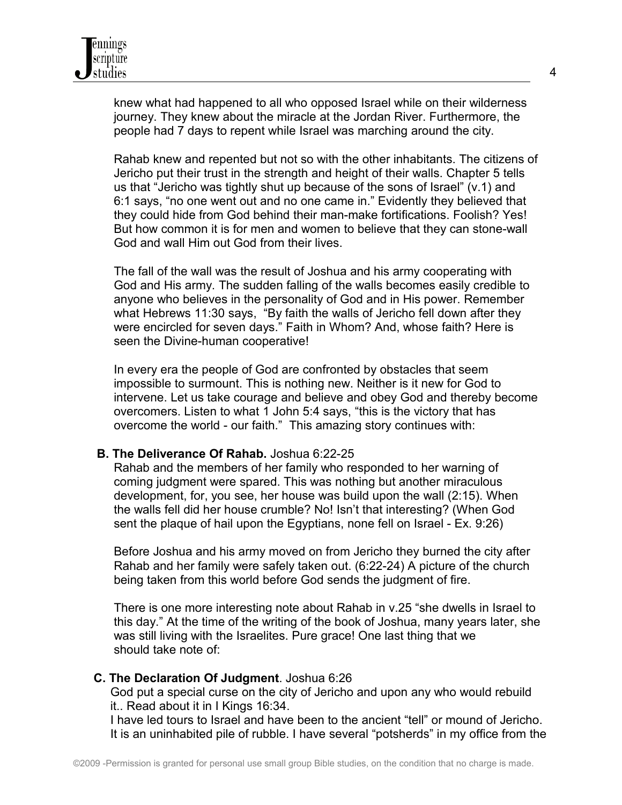knew what had happened to all who opposed Israel while on their wilderness journey. They knew about the miracle at the Jordan River. Furthermore, the people had 7 days to repent while Israel was marching around the city.

 Rahab knew and repented but not so with the other inhabitants. The citizens of Jericho put their trust in the strength and height of their walls. Chapter 5 tells us that "Jericho was tightly shut up because of the sons of Israel" (v.1) and 6:1 says, "no one went out and no one came in." Evidently they believed that they could hide from God behind their man-make fortifications. Foolish? Yes! But how common it is for men and women to believe that they can stone-wall God and wall Him out God from their lives.

 The fall of the wall was the result of Joshua and his army cooperating with God and His army. The sudden falling of the walls becomes easily credible to anyone who believes in the personality of God and in His power. Remember what Hebrews 11:30 says, "By faith the walls of Jericho fell down after they were encircled for seven days." Faith in Whom? And, whose faith? Here is seen the Divine-human cooperative!

 In every era the people of God are confronted by obstacles that seem impossible to surmount. This is nothing new. Neither is it new for God to intervene. Let us take courage and believe and obey God and thereby become overcomers. Listen to what 1 John 5:4 says, "this is the victory that has overcome the world - our faith." This amazing story continues with:

#### **B. The Deliverance Of Rahab.** Joshua 6:22-25

 Rahab and the members of her family who responded to her warning of coming judgment were spared. This was nothing but another miraculous development, for, you see, her house was build upon the wall (2:15). When the walls fell did her house crumble? No! Isn't that interesting? (When God sent the plaque of hail upon the Egyptians, none fell on Israel - Ex. 9:26)

 Before Joshua and his army moved on from Jericho they burned the city after Rahab and her family were safely taken out. (6:22-24) A picture of the church being taken from this world before God sends the judgment of fire.

 There is one more interesting note about Rahab in v.25 "she dwells in Israel to this day." At the time of the writing of the book of Joshua, many years later, she was still living with the Israelites. Pure grace! One last thing that we should take note of:

### **C. The Declaration Of Judgment**. Joshua 6:26

 God put a special curse on the city of Jericho and upon any who would rebuild it.. Read about it in I Kings 16:34.

 I have led tours to Israel and have been to the ancient "tell" or mound of Jericho. It is an uninhabited pile of rubble. I have several "potsherds" in my office from the